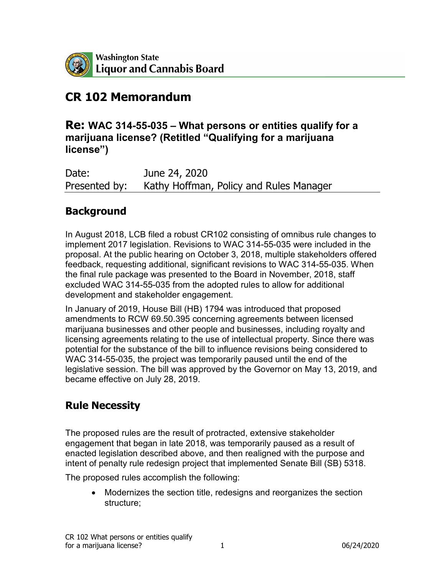

# **CR 102 Memorandum**

### **Re: WAC 314-55-035 – What persons or entities qualify for a marijuana license? (Retitled "Qualifying for a marijuana license")**

Date: June 24, 2020 Presented by: Kathy Hoffman, Policy and Rules Manager

## **Background**

In August 2018, LCB filed a robust CR102 consisting of omnibus rule changes to implement 2017 legislation. Revisions to WAC 314-55-035 were included in the proposal. At the public hearing on October 3, 2018, multiple stakeholders offered feedback, requesting additional, significant revisions to WAC 314-55-035. When the final rule package was presented to the Board in November, 2018, staff excluded WAC 314-55-035 from the adopted rules to allow for additional development and stakeholder engagement.

In January of 2019, House Bill (HB) 1794 was introduced that proposed amendments to RCW 69.50.395 concerning agreements between licensed marijuana businesses and other people and businesses, including royalty and licensing agreements relating to the use of intellectual property. Since there was potential for the substance of the bill to influence revisions being considered to WAC 314-55-035, the project was temporarily paused until the end of the legislative session. The bill was approved by the Governor on May 13, 2019, and became effective on July 28, 2019.

## **Rule Necessity**

The proposed rules are the result of protracted, extensive stakeholder engagement that began in late 2018, was temporarily paused as a result of enacted legislation described above, and then realigned with the purpose and intent of penalty rule redesign project that implemented Senate Bill (SB) 5318.

The proposed rules accomplish the following:

• Modernizes the section title, redesigns and reorganizes the section structure;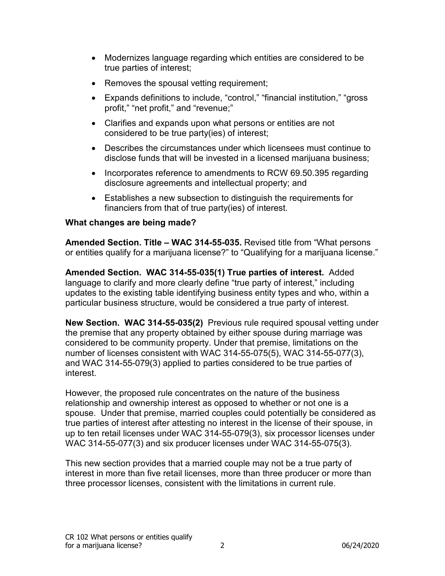- Modernizes language regarding which entities are considered to be true parties of interest;
- Removes the spousal vetting requirement;
- Expands definitions to include, "control," "financial institution," "gross profit," "net profit," and "revenue;"
- Clarifies and expands upon what persons or entities are not considered to be true party(ies) of interest;
- Describes the circumstances under which licensees must continue to disclose funds that will be invested in a licensed marijuana business;
- Incorporates reference to amendments to RCW 69.50.395 regarding disclosure agreements and intellectual property; and
- Establishes a new subsection to distinguish the requirements for financiers from that of true party(ies) of interest.

#### **What changes are being made?**

**Amended Section. Title – WAC 314-55-035.** Revised title from "What persons or entities qualify for a marijuana license?" to "Qualifying for a marijuana license."

**Amended Section. WAC 314-55-035(1) True parties of interest.** Added language to clarify and more clearly define "true party of interest," including updates to the existing table identifying business entity types and who, within a particular business structure, would be considered a true party of interest.

**New Section. WAC 314-55-035(2)** Previous rule required spousal vetting under the premise that any property obtained by either spouse during marriage was considered to be community property. Under that premise, limitations on the number of licenses consistent with WAC 314-55-075(5), WAC 314-55-077(3), and WAC 314-55-079(3) applied to parties considered to be true parties of interest.

However, the proposed rule concentrates on the nature of the business relationship and ownership interest as opposed to whether or not one is a spouse. Under that premise, married couples could potentially be considered as true parties of interest after attesting no interest in the license of their spouse, in up to ten retail licenses under WAC 314-55-079(3), six processor licenses under WAC 314-55-077(3) and six producer licenses under WAC 314-55-075(3).

This new section provides that a married couple may not be a true party of interest in more than five retail licenses, more than three producer or more than three processor licenses, consistent with the limitations in current rule.